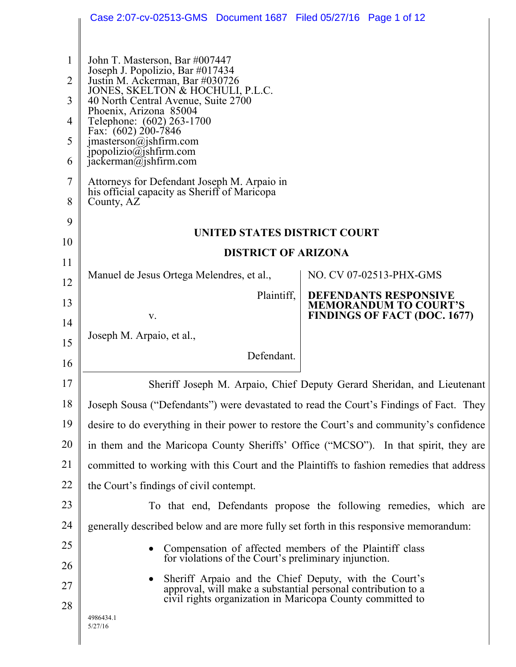|                                          | Case 2:07-cv-02513-GMS  Document 1687  Filed 05/27/16  Page 1 of 12                                                                                                                                                                                            |                                                                        |
|------------------------------------------|----------------------------------------------------------------------------------------------------------------------------------------------------------------------------------------------------------------------------------------------------------------|------------------------------------------------------------------------|
| $\mathbf{1}$<br>$\overline{2}$<br>3<br>4 | John T. Masterson, Bar #007447<br>Joseph J. Popolizio, Bar #017434<br>Justin M. Ackerman, Bar #030726<br>JONES, SKELTON & HOCHULI, P.L.C.<br>40 North Central Avenue, Suite 2700<br>Phoenix, Arizona 85004<br>Telephone: (602) 263-1700<br>Fax: (602) 200-7846 |                                                                        |
| 5<br>6                                   | jmasterson@jshfirm.com<br>jpopolizio@jshfirm.com<br>jackerman@jshfirm.com                                                                                                                                                                                      |                                                                        |
| 7<br>8                                   | Attorneys for Defendant Joseph M. Arpaio in<br>his official capacity as Sheriff of Maricopa<br>County, AZ                                                                                                                                                      |                                                                        |
| 9                                        | UNITED STATES DISTRICT COURT                                                                                                                                                                                                                                   |                                                                        |
| 10                                       | <b>DISTRICT OF ARIZONA</b>                                                                                                                                                                                                                                     |                                                                        |
| 11                                       | Manuel de Jesus Ortega Melendres, et al.,                                                                                                                                                                                                                      | NO. CV 07-02513-PHX-GMS                                                |
| 12                                       | Plaintiff,                                                                                                                                                                                                                                                     | <b>DEFENDANTS RESPONSIVE</b>                                           |
| 13<br>14                                 | V.                                                                                                                                                                                                                                                             | <b>MEMORANDUM TO COURT'S</b><br><b>FINDINGS OF FACT (DOC. 1677)</b>    |
| 15                                       | Joseph M. Arpaio, et al.,                                                                                                                                                                                                                                      |                                                                        |
| 16                                       | Defendant.                                                                                                                                                                                                                                                     |                                                                        |
| 17                                       |                                                                                                                                                                                                                                                                | Sheriff Joseph M. Arpaio, Chief Deputy Gerard Sheridan, and Lieutenant |
| 18                                       | Joseph Sousa ("Defendants") were devastated to read the Court's Findings of Fact. They                                                                                                                                                                         |                                                                        |
| 19                                       | desire to do everything in their power to restore the Court's and community's confidence                                                                                                                                                                       |                                                                        |
| 20                                       | in them and the Maricopa County Sheriffs' Office ("MCSO"). In that spirit, they are                                                                                                                                                                            |                                                                        |
| 21                                       | committed to working with this Court and the Plaintiffs to fashion remedies that address                                                                                                                                                                       |                                                                        |
| 22                                       | the Court's findings of civil contempt.                                                                                                                                                                                                                        |                                                                        |
| 23                                       |                                                                                                                                                                                                                                                                | To that end, Defendants propose the following remedies, which are      |
| 24                                       | generally described below and are more fully set forth in this responsive memorandum:                                                                                                                                                                          |                                                                        |
| 25<br>26                                 | Compensation of affected members of the Plaintiff class<br>for violations of the Court's preliminary injunction.                                                                                                                                               |                                                                        |
| 27                                       | Sheriff Arpaio and the Chief Deputy, with the Court's                                                                                                                                                                                                          |                                                                        |
| 28                                       | approval, will make a substantial personal contribution to a<br>civil rights organization in Maricopa County committed to                                                                                                                                      |                                                                        |
|                                          | 4986434.1<br>5/27/16                                                                                                                                                                                                                                           |                                                                        |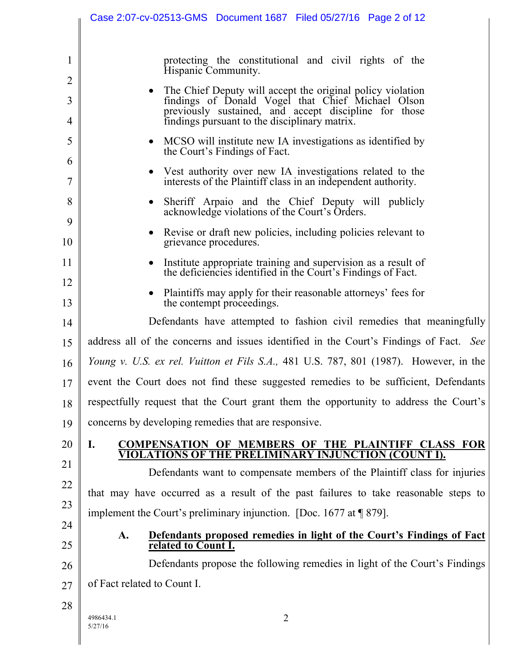|                          | Case 2:07-cv-02513-GMS  Document 1687  Filed 05/27/16  Page 2 of 12                                                                                                                                                       |
|--------------------------|---------------------------------------------------------------------------------------------------------------------------------------------------------------------------------------------------------------------------|
| 1                        | protecting the constitutional and civil rights of the<br>Hispanic Community.                                                                                                                                              |
| 2<br>3<br>$\overline{4}$ | The Chief Deputy will accept the original policy violation<br>findings of Donald Vogel that Chief Michael Olson<br>previously sustained, and accept discipline for those<br>findings pursuant to the disciplinary matrix. |
| 5<br>6                   | MCSO will institute new IA investigations as identified by<br>the Court's Findings of Fact.                                                                                                                               |
| 7                        | Vest authority over new IA investigations related to the<br>interests of the Plaintiff class in an independent authority.                                                                                                 |
| 8<br>9                   | Sheriff Arpaio and the Chief Deputy will publicly<br>acknowledge violations of the Court's Orders.                                                                                                                        |
| 10                       | Revise or draft new policies, including policies relevant to<br>grievance procedures.                                                                                                                                     |
| 11                       | Institute appropriate training and supervision as a result of<br>the deficiencies identified in the Court's Findings of Fact.                                                                                             |
| 12<br>13                 | Plaintiffs may apply for their reasonable attorneys' fees for<br>the contempt proceedings.                                                                                                                                |
| 14                       | Defendants have attempted to fashion civil remedies that meaningfully                                                                                                                                                     |
| 15                       | address all of the concerns and issues identified in the Court's Findings of Fact. See                                                                                                                                    |
| 16                       | <i>Young v. U.S. ex rel. Vuitton et Fils S.A.</i> , 481 U.S. 787, 801 (1987). However, in the                                                                                                                             |
| 17                       | event the Court does not find these suggested remedies to be sufficient, Defendants                                                                                                                                       |
| 18                       | respectfully request that the Court grant them the opportunity to address the Court's                                                                                                                                     |
| 19                       | concerns by developing remedies that are responsive.                                                                                                                                                                      |
| 20                       | I.<br>COMPENSATION OF MEMBERS OF THE PLAINTIFF CLASS FOR<br>VIOLATIONS OF THE PRELIMINARY INJUNCTION (COUNT I).                                                                                                           |
| 21                       | Defendants want to compensate members of the Plaintiff class for injuries                                                                                                                                                 |
| 22                       | that may have occurred as a result of the past failures to take reasonable steps to                                                                                                                                       |
| 23                       | implement the Court's preliminary injunction. [Doc. 1677 at $\sqrt{9}$ 879].                                                                                                                                              |
| 24                       | Defendants proposed remedies in light of the Court's Findings of Fact<br>A.                                                                                                                                               |
| 25                       | related to Count I.                                                                                                                                                                                                       |
| 26                       | Defendants propose the following remedies in light of the Court's Findings                                                                                                                                                |
| 27                       | of Fact related to Count I.                                                                                                                                                                                               |
| 28                       | $\overline{2}$<br>4986434.1<br>5/27/16                                                                                                                                                                                    |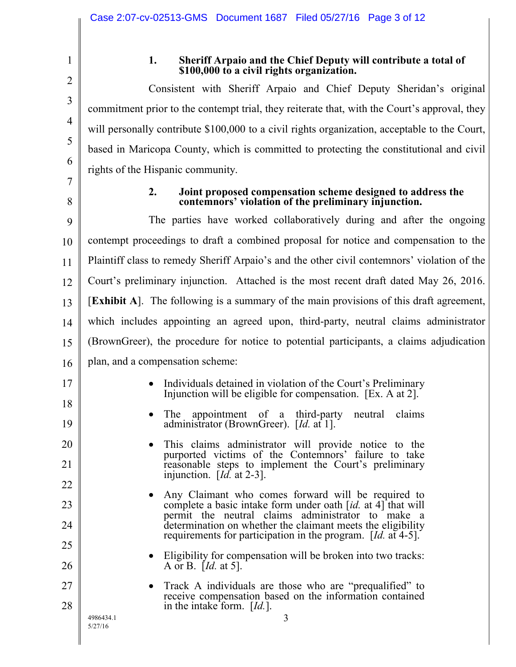2 3

4

5

6

7

8

17

18

19

20

21

22

23

24

25

26

27

28

1

## **1. Sheriff Arpaio and the Chief Deputy will contribute a total of \$100,000 to a civil rights organization.**

Consistent with Sheriff Arpaio and Chief Deputy Sheridan's original commitment prior to the contempt trial, they reiterate that, with the Court's approval, they will personally contribute \$100,000 to a civil rights organization, acceptable to the Court, based in Maricopa County, which is committed to protecting the constitutional and civil rights of the Hispanic community.

## **2. Joint proposed compensation scheme designed to address the contemnors' violation of the preliminary injunction.**

9 10 11 12 13 14 15 16 The parties have worked collaboratively during and after the ongoing contempt proceedings to draft a combined proposal for notice and compensation to the Plaintiff class to remedy Sheriff Arpaio's and the other civil contemnors' violation of the Court's preliminary injunction. Attached is the most recent draft dated May 26, 2016. [**Exhibit A**]. The following is a summary of the main provisions of this draft agreement, which includes appointing an agreed upon, third-party, neutral claims administrator (BrownGreer), the procedure for notice to potential participants, a claims adjudication plan, and a compensation scheme:

- Individuals detained in violation of the Court's Preliminary Injunction will be eligible for compensation. [Ex. A at 2].
- The appointment of a third-party neutral claims administrator (BrownGreer). [*Id.* at 1].
- This claims administrator will provide notice to the purported victims of the Contemnors' failure to take reasonable steps to implement the Court's preliminary injunction. [*Id.* at 2-3].
- Any Claimant who comes forward will be required to complete a basic intake form under oath [*id.* at 4] that will permit the neutral claims administrator to make a determination on whether the claimant meets the eligibility requirements for participation in the program. [*Id.* at 4-5].
- Eligibility for compensation will be broken into two tracks: A or B. [*Id.* at 5].
- Track A individuals are those who are "prequalified" to receive compensation based on the information contained in the intake form. [*Id.*].

4986434.1 5/27/16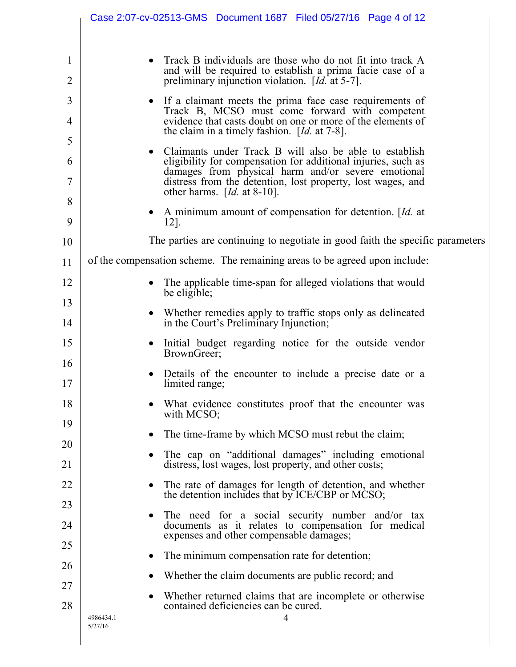|                                | Case 2:07-cv-02513-GMS  Document 1687  Filed 05/27/16  Page 4 of 12                                                                                                                                                                                                                                                                                                                                                                                                                                          |
|--------------------------------|--------------------------------------------------------------------------------------------------------------------------------------------------------------------------------------------------------------------------------------------------------------------------------------------------------------------------------------------------------------------------------------------------------------------------------------------------------------------------------------------------------------|
| $\mathbf{1}$<br>$\overline{2}$ | Track B individuals are those who do not fit into track A<br>and will be required to establish a prima facie case of a<br>preliminary injunction violation. $[d]$ at 5-7].                                                                                                                                                                                                                                                                                                                                   |
| 3<br>4<br>5<br>6<br>7          | If a claimant meets the prima face case requirements of<br>Track B, MCSO must come forward with competent<br>evidence that casts doubt on one or more of the elements of<br>the claim in a timely fashion. $[d. at 7-8]$ .<br>Claimants under Track B will also be able to establish<br>eligibility for compensation for additional injuries, such as<br>damages from physical harm and/or severe emotional<br>distress from the detention, lost property, lost wages, and<br>other harms. $[Id. at 8-10]$ . |
| 8<br>9                         | A minimum amount of compensation for detention. [Id. at<br>12].                                                                                                                                                                                                                                                                                                                                                                                                                                              |
| 10                             | The parties are continuing to negotiate in good faith the specific parameters                                                                                                                                                                                                                                                                                                                                                                                                                                |
| 11                             | of the compensation scheme. The remaining areas to be agreed upon include:                                                                                                                                                                                                                                                                                                                                                                                                                                   |
| 12                             | The applicable time-span for alleged violations that would<br>be eligible;                                                                                                                                                                                                                                                                                                                                                                                                                                   |
| 13                             | Whether remedies apply to traffic stops only as delineated                                                                                                                                                                                                                                                                                                                                                                                                                                                   |
| 14                             | in the Court's Preliminary Injunction;                                                                                                                                                                                                                                                                                                                                                                                                                                                                       |
| 15                             | Initial budget regarding notice for the outside vendor<br>BrownGreer;                                                                                                                                                                                                                                                                                                                                                                                                                                        |
| 16<br>17                       | Details of the encounter to include a precise date or a<br>limited range;                                                                                                                                                                                                                                                                                                                                                                                                                                    |
| 18                             | What evidence constitutes proof that the encounter was<br>with MCSO;                                                                                                                                                                                                                                                                                                                                                                                                                                         |
| 19                             | The time-frame by which MCSO must rebut the claim;                                                                                                                                                                                                                                                                                                                                                                                                                                                           |
| 20<br>21                       | The cap on "additional damages" including emotional<br>distress, lost wages, lost property, and other costs;                                                                                                                                                                                                                                                                                                                                                                                                 |
| 22                             | The rate of damages for length of detention, and whether                                                                                                                                                                                                                                                                                                                                                                                                                                                     |
| 23                             | the detention includes that by ICE/CBP or MCSO;                                                                                                                                                                                                                                                                                                                                                                                                                                                              |
| 24                             | The need for a social security number and/or tax<br>documents as it relates to compensation for medical<br>expenses and other compensable damages;                                                                                                                                                                                                                                                                                                                                                           |
| 25                             | The minimum compensation rate for detention;                                                                                                                                                                                                                                                                                                                                                                                                                                                                 |
| 26                             | Whether the claim documents are public record; and                                                                                                                                                                                                                                                                                                                                                                                                                                                           |
| 27                             | Whether returned claims that are incomplete or otherwise                                                                                                                                                                                                                                                                                                                                                                                                                                                     |
| 28                             | contained deficiencies can be cured.<br>4<br>4986434.1<br>5/27/16                                                                                                                                                                                                                                                                                                                                                                                                                                            |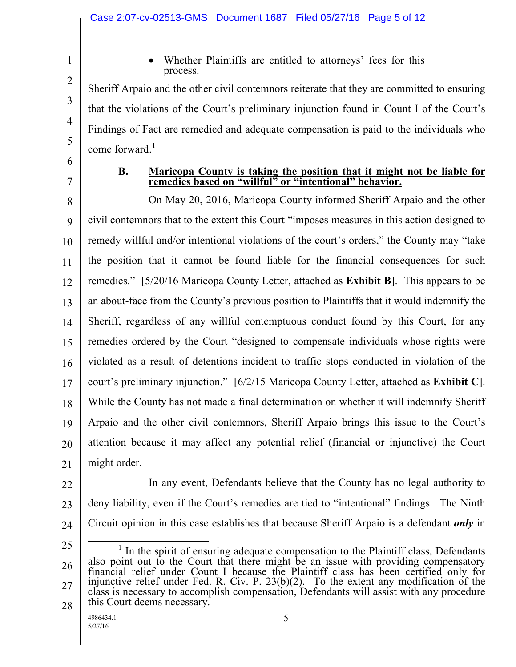2 3 4

1

 Whether Plaintiffs are entitled to attorneys' fees for this process.

Sheriff Arpaio and the other civil contemnors reiterate that they are committed to ensuring that the violations of the Court's preliminary injunction found in Count I of the Court's Findings of Fact are remedied and adequate compensation is paid to the individuals who come forward. 1

6 7

5

#### **B. Maricopa County is taking the position that it might not be liable for remedies based on "willful" or "intentional" behavior.**

8 9 10 11 12 13 14 15 16 17 18 19 20 21 On May 20, 2016, Maricopa County informed Sheriff Arpaio and the other civil contemnors that to the extent this Court "imposes measures in this action designed to remedy willful and/or intentional violations of the court's orders," the County may "take the position that it cannot be found liable for the financial consequences for such remedies." [5/20/16 Maricopa County Letter, attached as **Exhibit B**]. This appears to be an about-face from the County's previous position to Plaintiffs that it would indemnify the Sheriff, regardless of any willful contemptuous conduct found by this Court, for any remedies ordered by the Court "designed to compensate individuals whose rights were violated as a result of detentions incident to traffic stops conducted in violation of the court's preliminary injunction." [6/2/15 Maricopa County Letter, attached as **Exhibit C**]. While the County has not made a final determination on whether it will indemnify Sheriff Arpaio and the other civil contemnors, Sheriff Arpaio brings this issue to the Court's attention because it may affect any potential relief (financial or injunctive) the Court might order.

- 22
- 23 24 In any event, Defendants believe that the County has no legal authority to deny liability, even if the Court's remedies are tied to "intentional" findings. The Ninth Circuit opinion in this case establishes that because Sheriff Arpaio is a defendant *only* in
- 25

<sup>26</sup> 27 28  $\overline{a}$ <sup>1</sup> In the spirit of ensuring adequate compensation to the Plaintiff class, Defendants also point out to the Court that there might be an issue with providing compensatory financial relief under Count I because the Plaintiff class has been certified only for injunctive relief under Fed. R. Civ. P. 23(b)(2). To the extent any modification of the class is necessary to accomplish compensation, Defendants will assist with any procedure this Court deems necessary.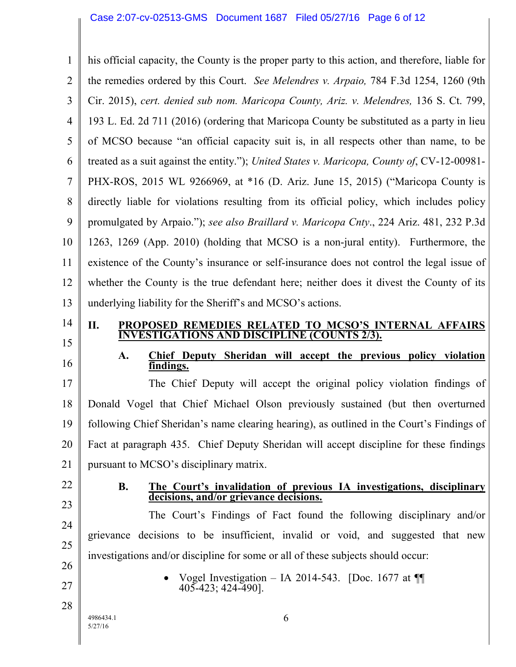1 2 3 4 5 6 7 8 9 10 11 12 13 14 15 his official capacity, the County is the proper party to this action, and therefore, liable for the remedies ordered by this Court. *See Melendres v. Arpaio,* 784 F.3d 1254, 1260 (9th Cir. 2015), *cert. denied sub nom. Maricopa County, Ariz. v. Melendres,* 136 S. Ct. 799, 193 L. Ed. 2d 711 (2016) (ordering that Maricopa County be substituted as a party in lieu of MCSO because "an official capacity suit is, in all respects other than name, to be treated as a suit against the entity."); *United States v. Maricopa, County of*, CV-12-00981- PHX-ROS, 2015 WL 9266969, at \*16 (D. Ariz. June 15, 2015) ("Maricopa County is directly liable for violations resulting from its official policy, which includes policy promulgated by Arpaio."); *see also Braillard v. Maricopa Cnty*., 224 Ariz. 481, 232 P.3d 1263, 1269 (App. 2010) (holding that MCSO is a non-jural entity). Furthermore, the existence of the County's insurance or self-insurance does not control the legal issue of whether the County is the true defendant here; neither does it divest the County of its underlying liability for the Sheriff's and MCSO's actions. **II. PROPOSED REMEDIES RELATED TO MCSO'S INTERNAL AFFAIRS INVESTIGATIONS AND DISCIPLINE (COUNTS 2/3).**

16

## **A. Chief Deputy Sheridan will accept the previous policy violation findings.**

17 18 19 20 21 The Chief Deputy will accept the original policy violation findings of Donald Vogel that Chief Michael Olson previously sustained (but then overturned following Chief Sheridan's name clearing hearing), as outlined in the Court's Findings of Fact at paragraph 435. Chief Deputy Sheridan will accept discipline for these findings pursuant to MCSO's disciplinary matrix.

22

23

24

25

26

27

28

#### **B. The Court's invalidation of previous IA investigations, disciplinary decisions, and/or grievance decisions.**

The Court's Findings of Fact found the following disciplinary and/or grievance decisions to be insufficient, invalid or void, and suggested that new investigations and/or discipline for some or all of these subjects should occur:

> Vogel Investigation – IA 2014-543. [Doc. 1677 at  $\P$ 405-423; 424-490].

4986434.1 5/27/16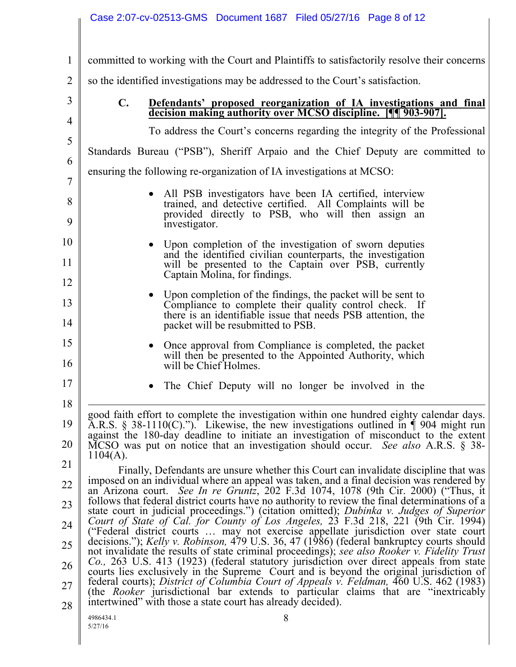|                                                                | Case 2:07-cv-02513-GMS  Document 1687  Filed 05/27/16  Page 8 of 12                                                                                                                                                                                                                                                                                                                                                                                                                                                                                                                                                                                                                                                                                                                                                                                                                                                                                                                                                                                                                                                                                                                                                                                                                                                                                                                                                                                                                                                                                                                                                                                                           |
|----------------------------------------------------------------|-------------------------------------------------------------------------------------------------------------------------------------------------------------------------------------------------------------------------------------------------------------------------------------------------------------------------------------------------------------------------------------------------------------------------------------------------------------------------------------------------------------------------------------------------------------------------------------------------------------------------------------------------------------------------------------------------------------------------------------------------------------------------------------------------------------------------------------------------------------------------------------------------------------------------------------------------------------------------------------------------------------------------------------------------------------------------------------------------------------------------------------------------------------------------------------------------------------------------------------------------------------------------------------------------------------------------------------------------------------------------------------------------------------------------------------------------------------------------------------------------------------------------------------------------------------------------------------------------------------------------------------------------------------------------------|
|                                                                |                                                                                                                                                                                                                                                                                                                                                                                                                                                                                                                                                                                                                                                                                                                                                                                                                                                                                                                                                                                                                                                                                                                                                                                                                                                                                                                                                                                                                                                                                                                                                                                                                                                                               |
| $\mathbf{1}$                                                   | committed to working with the Court and Plaintiffs to satisfactorily resolve their concerns                                                                                                                                                                                                                                                                                                                                                                                                                                                                                                                                                                                                                                                                                                                                                                                                                                                                                                                                                                                                                                                                                                                                                                                                                                                                                                                                                                                                                                                                                                                                                                                   |
| $\overline{2}$                                                 | so the identified investigations may be addressed to the Court's satisfaction.                                                                                                                                                                                                                                                                                                                                                                                                                                                                                                                                                                                                                                                                                                                                                                                                                                                                                                                                                                                                                                                                                                                                                                                                                                                                                                                                                                                                                                                                                                                                                                                                |
| 3                                                              | $\mathbf{C}$ .<br>Defendants' proposed reorganization of IA investigations and final<br>decision making authority over MCSO discipline. [9903-907].                                                                                                                                                                                                                                                                                                                                                                                                                                                                                                                                                                                                                                                                                                                                                                                                                                                                                                                                                                                                                                                                                                                                                                                                                                                                                                                                                                                                                                                                                                                           |
| 4                                                              | To address the Court's concerns regarding the integrity of the Professional                                                                                                                                                                                                                                                                                                                                                                                                                                                                                                                                                                                                                                                                                                                                                                                                                                                                                                                                                                                                                                                                                                                                                                                                                                                                                                                                                                                                                                                                                                                                                                                                   |
| 5                                                              | Standards Bureau ("PSB"), Sheriff Arpaio and the Chief Deputy are committed to                                                                                                                                                                                                                                                                                                                                                                                                                                                                                                                                                                                                                                                                                                                                                                                                                                                                                                                                                                                                                                                                                                                                                                                                                                                                                                                                                                                                                                                                                                                                                                                                |
| 6                                                              | ensuring the following re-organization of IA investigations at MCSO:                                                                                                                                                                                                                                                                                                                                                                                                                                                                                                                                                                                                                                                                                                                                                                                                                                                                                                                                                                                                                                                                                                                                                                                                                                                                                                                                                                                                                                                                                                                                                                                                          |
| $\overline{7}$                                                 |                                                                                                                                                                                                                                                                                                                                                                                                                                                                                                                                                                                                                                                                                                                                                                                                                                                                                                                                                                                                                                                                                                                                                                                                                                                                                                                                                                                                                                                                                                                                                                                                                                                                               |
| 8<br>9                                                         | All PSB investigators have been IA certified, interview<br>trained, and detective certified. All Complaints will be<br>provided directly to PSB, who will then assign an<br>investigator.                                                                                                                                                                                                                                                                                                                                                                                                                                                                                                                                                                                                                                                                                                                                                                                                                                                                                                                                                                                                                                                                                                                                                                                                                                                                                                                                                                                                                                                                                     |
| 10                                                             | Upon completion of the investigation of sworn deputies                                                                                                                                                                                                                                                                                                                                                                                                                                                                                                                                                                                                                                                                                                                                                                                                                                                                                                                                                                                                                                                                                                                                                                                                                                                                                                                                                                                                                                                                                                                                                                                                                        |
| 11<br>12                                                       | and the identified civilian counterparts, the investigation<br>will be presented to the Captain over PSB, currently<br>Captain Molina, for findings.                                                                                                                                                                                                                                                                                                                                                                                                                                                                                                                                                                                                                                                                                                                                                                                                                                                                                                                                                                                                                                                                                                                                                                                                                                                                                                                                                                                                                                                                                                                          |
| 13<br>14                                                       | Upon completion of the findings, the packet will be sent to<br>Compliance to complete their quality control check. If<br>there is an identifiable issue that needs PSB attention, the<br>packet will be resubmitted to PSB.                                                                                                                                                                                                                                                                                                                                                                                                                                                                                                                                                                                                                                                                                                                                                                                                                                                                                                                                                                                                                                                                                                                                                                                                                                                                                                                                                                                                                                                   |
| 15<br>16                                                       | Once approval from Compliance is completed, the packet<br>will then be presented to the Appointed Authority, which<br>will be Chief Holmes.                                                                                                                                                                                                                                                                                                                                                                                                                                                                                                                                                                                                                                                                                                                                                                                                                                                                                                                                                                                                                                                                                                                                                                                                                                                                                                                                                                                                                                                                                                                                   |
| 17                                                             | The Chief Deputy will no longer be involved in the                                                                                                                                                                                                                                                                                                                                                                                                                                                                                                                                                                                                                                                                                                                                                                                                                                                                                                                                                                                                                                                                                                                                                                                                                                                                                                                                                                                                                                                                                                                                                                                                                            |
| 18<br>19<br>20<br>21<br>22<br>23<br>24<br>25<br>26<br>27<br>28 | good faith effort to complete the investigation within one hundred eighty calendar days.<br>A.R.S. § 38-1110(C)."). Likewise, the new investigations outlined in $\P$ 904 might run<br>against the 180-day deadline to initiate an investigation of misconduct to the extent<br>MCSO was put on notice that an investigation should occur. See also A.R.S. § 38-<br>$1104(A)$ .<br>Finally, Defendants are unsure whether this Court can invalidate discipline that was<br>imposed on an individual where an appeal was taken, and a final decision was rendered by<br>an Arizona court. See In re Gruntz, 202 F.3d 1074, 1078 (9th Cir. 2000) ("Thus, it<br>follows that federal district courts have no authority to review the final determinations of a<br>state court in judicial proceedings.") (citation omitted); Dubinka v. Judges of Superior<br>Court of State of Cal. for County of Los Angeles, 23 F.3d 218, 221 (9th Cir. 1994)<br>("Federal district courts  may not exercise appellate jurisdiction over state court<br>decisions."); Kelly v. Robinson, 479 U.S. 36, 47 (1986) (federal bankruptcy courts should<br>not invalidate the results of state criminal proceedings); see also Rooker v. Fidelity Trust<br>Co., 263 U.S. 413 (1923) (federal statutory jurisdiction over direct appeals from state<br>courts lies exclusively in the Supreme Court and is beyond the original jurisdiction of<br>federal courts); District of Columbia Court of Appeals v. Feldman, 460 U.S. 462 (1983)<br>(the <i>Rooker</i> jurisdictional bar extends to particular claims that are "inextricably<br>intertwined" with those a state court has already decided). |
|                                                                | 4986434.1<br>8<br>5/27/16                                                                                                                                                                                                                                                                                                                                                                                                                                                                                                                                                                                                                                                                                                                                                                                                                                                                                                                                                                                                                                                                                                                                                                                                                                                                                                                                                                                                                                                                                                                                                                                                                                                     |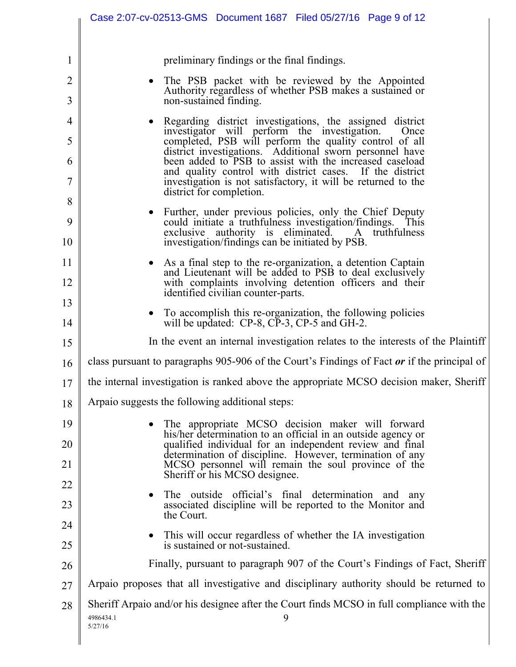|                | Case 2:07-cv-02513-GMS  Document 1687  Filed 05/27/16  Page 9 of 12                                                    |
|----------------|------------------------------------------------------------------------------------------------------------------------|
|                |                                                                                                                        |
| $\mathbf{1}$   | preliminary findings or the final findings.                                                                            |
| $\overline{2}$ | The PSB packet with be reviewed by the Appointed<br>Authority regardless of whether PSB makes a sustained or           |
| 3              | non-sustained finding.                                                                                                 |
| 4              | Regarding district investigations, the assigned district<br>investigator will perform the investigation.<br>Once       |
| 5              | completed, PSB will perform the quality control of all<br>district investigations. Additional sworn personnel have     |
| 6              | been added to PSB to assist with the increased caseload<br>and quality control with district cases. If the district    |
| 7              | investigation is not satisfactory, it will be returned to the<br>district for completion.                              |
| 8              | Further, under previous policies, only the Chief Deputy                                                                |
| 9              | could initiate a truthfulness investigation/findings. This<br>exclusive authority is eliminated.<br>A truthfulness     |
| 10             | investigation/findings can be initiated by PSB.                                                                        |
| 11             | As a final step to the re-organization, a detention Captain<br>and Lieutenant will be added to PSB to deal exclusively |
| 12             | with complaints involving detention officers and their<br>identified civilian counter-parts.                           |
| 13             | To accomplish this re-organization, the following policies                                                             |
| 14             | will be updated: CP-8, CP-3, CP-5 and GH-2.                                                                            |
| 15             | In the event an internal investigation relates to the interests of the Plaintiff                                       |
| 16             | class pursuant to paragraphs 905-906 of the Court's Findings of Fact or if the principal of                            |
| 17             | the internal investigation is ranked above the appropriate MCSO decision maker, Sheriff                                |
| 18             | Arpaio suggests the following additional steps:                                                                        |
| 19             | The appropriate MCSO decision maker will forward<br>his/her determination to an official in an outside agency or       |
| 20             | qualified individual for an independent review and final<br>determination of discipline. However, termination of any   |
| 21             | MCSO personnel will remain the soul province of the<br>Sheriff or his MCSO designee.                                   |
| 22             | The outside official's final determination and any                                                                     |
| 23             | associated discipline will be reported to the Monitor and<br>the Court.                                                |
| 24             | This will occur regardless of whether the IA investigation                                                             |
| 25             | is sustained or not-sustained.                                                                                         |
| 26             | Finally, pursuant to paragraph 907 of the Court's Findings of Fact, Sheriff                                            |
| 27             | Arpaio proposes that all investigative and disciplinary authority should be returned to                                |
| 28             | Sheriff Arpaio and/or his designee after the Court finds MCSO in full compliance with the<br>4986434.1<br>9<br>5/27/16 |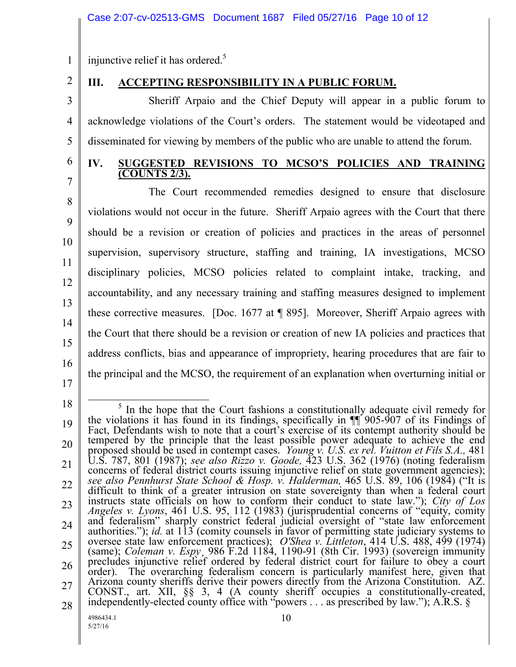injunctive relief it has ordered.<sup>5</sup>

2 3

4

5

6

7

8

9

10

11

12

13

15

16

1

# **III. ACCEPTING RESPONSIBILITY IN A PUBLIC FORUM.**

Sheriff Arpaio and the Chief Deputy will appear in a public forum to acknowledge violations of the Court's orders. The statement would be videotaped and disseminated for viewing by members of the public who are unable to attend the forum.

### **IV. SUGGESTED REVISIONS TO MCSO'S POLICIES AND TRAINING (COUNTS 2/3).**

14 The Court recommended remedies designed to ensure that disclosure violations would not occur in the future. Sheriff Arpaio agrees with the Court that there should be a revision or creation of policies and practices in the areas of personnel supervision, supervisory structure, staffing and training, IA investigations, MCSO disciplinary policies, MCSO policies related to complaint intake, tracking, and accountability, and any necessary training and staffing measures designed to implement these corrective measures. [Doc. 1677 at ¶ 895]. Moreover, Sheriff Arpaio agrees with the Court that there should be a revision or creation of new IA policies and practices that address conflicts, bias and appearance of impropriety, hearing procedures that are fair to the principal and the MCSO, the requirement of an explanation when overturning initial or

17

<sup>18</sup>

<sup>19</sup> 20 21 22 23 24 25 26 27 28 4986434.1 10  $\overline{a}$ <sup>5</sup> In the hope that the Court fashions a constitutionally adequate civil remedy for the violations it has found in its findings, specifically in ¶¶ 905-907 of its Findings of Fact, Defendants wish to note that a court's exercise of its contempt authority should be tempered by the principle that the least possible power adequate to achieve the end proposed should be used in contempt cases. *Young v. U.S. ex rel. Vuitton et Fils S.A.,* 481 U.S. 787, 801 (1987); *see also Rizzo v. Goode,* 423 U.S. 362 (1976) (noting federalism concerns of federal district courts issuing injunctive relief on state government agencies); *see also Pennhurst State School & Hosp. v. Halderman,* 465 U.S. 89, 106 (1984) ("It is difficult to think of a greater intrusion on state sovereignty than when a federal court instructs state officials on how to conform their conduct to state law."); *City of Los Angeles v. Lyons*, 461 U.S. 95, 112 (1983) (jurisprudential concerns of "equity, comity and federalism" sharply constrict federal judicial oversight of "state law enforcement authorities."); *id.* at 113 (comity counsels in favor of permitting state judiciary systems to oversee state law enforcement practices); *O'Shea v. Littleton*, 414 U.S. 488, 499 (1974) (same); *Coleman v. Espy*¸ 986 F.2d 1184, 1190-91 (8th Cir. 1993) (sovereign immunity precludes injunctive relief ordered by federal district court for failure to obey a court order). The overarching federalism concern is particularly manifest here, given that Arizona county sheriffs derive their powers directly from the Arizona Constitution. AZ. CONST., art. XII, §§ 3, 4 (A county sheriff occupies a constitutionally-created, independently-elected county office with "powers . . . as prescribed by law."); A.R.S. §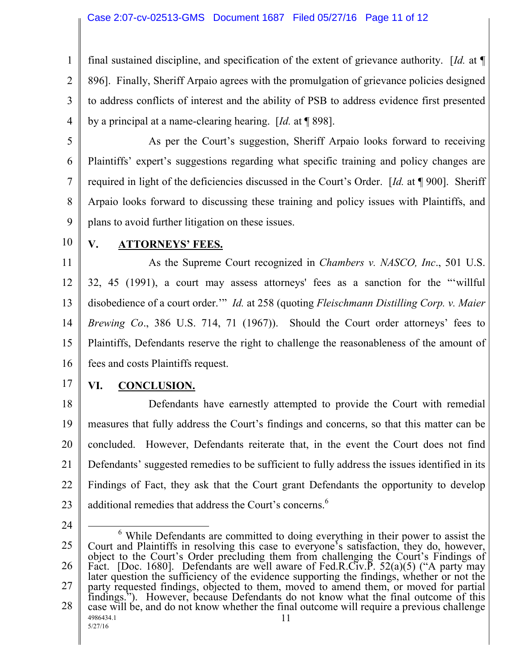### Case 2:07-cv-02513-GMS Document 1687 Filed 05/27/16 Page 11 of 12

2 3 4 final sustained discipline, and specification of the extent of grievance authority. [*Id.* at ¶ 896]. Finally, Sheriff Arpaio agrees with the promulgation of grievance policies designed to address conflicts of interest and the ability of PSB to address evidence first presented by a principal at a name-clearing hearing. [*Id.* at ¶ 898].

5

6

7

8

9

1

As per the Court's suggestion, Sheriff Arpaio looks forward to receiving Plaintiffs' expert's suggestions regarding what specific training and policy changes are required in light of the deficiencies discussed in the Court's Order. [*Id.* at ¶ 900]. Sheriff Arpaio looks forward to discussing these training and policy issues with Plaintiffs, and plans to avoid further litigation on these issues.

10

## **V. ATTORNEYS' FEES.**

11 12 13 14 15 16 As the Supreme Court recognized in *Chambers v. NASCO, Inc*., 501 U.S. 32, 45 (1991), a court may assess attorneys' fees as a sanction for the "'willful disobedience of a court order.'" *Id.* at 258 (quoting *Fleischmann Distilling Corp. v. Maier Brewing Co*., 386 U.S. 714, 71 (1967)). Should the Court order attorneys' fees to Plaintiffs, Defendants reserve the right to challenge the reasonableness of the amount of fees and costs Plaintiffs request.

17

# **VI. CONCLUSION.**

18 19 20 21 22 23 Defendants have earnestly attempted to provide the Court with remedial measures that fully address the Court's findings and concerns, so that this matter can be concluded. However, Defendants reiterate that, in the event the Court does not find Defendants' suggested remedies to be sufficient to fully address the issues identified in its Findings of Fact, they ask that the Court grant Defendants the opportunity to develop additional remedies that address the Court's concerns.<sup>6</sup>

24

<sup>25</sup> 26 27 28 4986434.1 5/27/16 11  $\overline{a}$ <sup>6</sup> While Defendants are committed to doing everything in their power to assist the Court and Plaintiffs in resolving this case to everyone's satisfaction, they do, however, object to the Court's Order precluding them from challenging the Court's Findings of Fact. [Doc. 1680]. Defendants are well aware of Fed.R.Civ.P. 52(a)(5) ("A party may later question the sufficiency of the evidence supporting the findings, whether or not the party requested findings, objected to them, moved to amend them, or moved for partial findings."). However, because Defendants do not know what the final outcome of this case will be, and do not know whether the final outcome will require a previous challenge